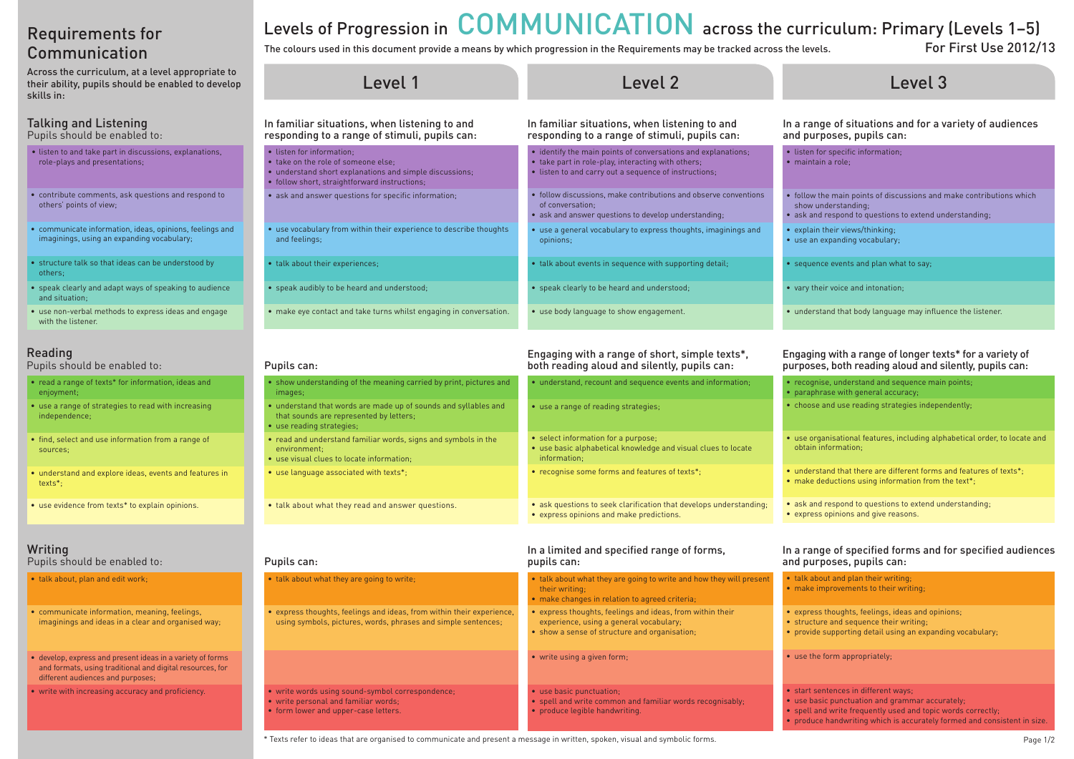# Requirements for Communication

Across the curriculum, at a level appropriate to their ability, pupils should be enabled to develop skills in:

### Talking and Listening

Pupils should be enabled to:

- listen to and take part in discussions, explanations, role-plays and presentations;
- • contribute comments, ask questions and respond to others' points of view;
- • communicate information, ideas, opinions, feelings and imaginings, using an expanding vocabulary;
- structure talk so that ideas can be understood by others;
- speak clearly and adapt ways of speaking to audience and situation;
- use non-verbal methods to express ideas and engage with the listener.

### Reading

Pupils should be enabled to:

- read a range of texts\* for information, ideas and enjoyment;
- use a range of strategies to read with increasing independence;
- find, select and use information from a range of sources;
- understand and explore ideas, events and features in texts\*;
- use evidence from texts\* to explain opinions.
- show understanding of the meaning carried by print, pictures and images;
- understand that words are made up of sounds and syllables and that sounds are represented by letters;
- use reading strategies;
- read and understand familiar words, signs and symbols in the environment;

### Writing

Pupils should be enabled to:

- talk about, plan and edit work;
- communicate information, meaning, feelings, imaginings and ideas in a clear and organised way;
- develop, express and present ideas in a variety of forms and formats, using traditional and digital resources, for different audiences and purposes;
- write with increasing accuracy and proficiency.

### The colours used in this document provide a means by which progression in the Requirements may be tracked across the levels. For First Use 2012/13 Levels of Progression in COMMUNICATION across the curriculum: Primary (Levels 1-5)

• express thoughts, feelings and ideas, from within their experience, using symbols, pictures, words, phrases and simple sentences;

• use visual clues to locate information;

• talk about what they are going to write;

- use language associated with texts\*;
- talk about what they read and answer questions.

• write words using sound-symbol correspondence;

• write personal and familiar words; • form lower and upper-case letters.

# • understand, recount and sequence events and information; • use a range of reading strategies; • select information for a purpose; • use basic alphabetical knowledge and visual clues to locate information; • recognise some forms and features of texts\*; • ask questions to seek clarification that develops understanding; • express opinions and make predictions.

### In a limited and specified range of forms, pupils can: • talk about what they are going to write and how they will present their writing; • make changes in relation to agreed criteria: • express thoughts, feelings and ideas, from within their experience, using a general vocabulary; • show a sense of structure and organisation;

- write using a given form;
- use basic punctuation;
- spell and write common and familiar words recognisably;
- produce legible handwriting.
- 

- choose and use reading strategies independently; obtain information; • make deductions using information from the text\*;
	- -
		-
		-
		-
		-
		-
		-
		-
		-
	-
	-

#### Pupils can:

Pupils can:

| Level 2                                                                                                                                                                      |                                                 |
|------------------------------------------------------------------------------------------------------------------------------------------------------------------------------|-------------------------------------------------|
| In familiar situations, when listening to and<br>responding to a range of stimuli, pupils can:                                                                               | In a range<br>and purp                          |
| • identify the main points of conversations and explanations;<br>• take part in role-play, interacting with others;<br>• listen to and carry out a sequence of instructions; | • listen for<br>$\bullet$ maintain              |
| • follow discussions, make contributions and observe conventions<br>of conversation:<br>• ask and answer questions to develop understanding;                                 | • follow the<br>show und<br>$\bullet$ ask and r |
| • use a general vocabulary to express thoughts, imaginings and<br>opinions:                                                                                                  | • explain th<br>• use an ex                     |
| • talk about events in sequence with supporting detail;                                                                                                                      | $\bullet$ sequence                              |
| • speak clearly to be heard and understood;                                                                                                                                  | • vary their                                    |
| • use body language to show engagement.                                                                                                                                      | · understal                                     |
|                                                                                                                                                                              |                                                 |

• ask and respond to questions to extend understanding; • express opinions and give reasons.

## Engaging with a range of short, simple texts\*, both reading aloud and silently, pupils can:

\* Texts refer to ideas that are organised to communicate and present a message in written, spoken, visual and symbolic forms. Page 1/2

# Level 3

### e of situations and for a variety of audiences oses, pupils can:

specific information;  $\blacksquare$  role:

- main points of discussions and make contributions which erstanding:
- espond to questions to extend understanding;
- eir views/thinking:
- panding vocabulary;
- events and plan what to say;
- voice and intonation;
- nd that body language may influence the listener.

### Engaging with a range of longer texts\* for a variety of purposes, both reading aloud and silently, pupils can:

• recognise, understand and sequence main points; • paraphrase with general accuracy;

• use organisational features, including alphabetical order, to locate and

• understand that there are different forms and features of texts\*:

#### In a range of specified forms and for specified audiences and purposes, pupils can:

• talk about and plan their writing: • make improvements to their writing;

• express thoughts, feelings, ideas and opinions; • structure and sequence their writing; • provide supporting detail using an expanding vocabulary;

• use the form appropriately;

• start sentences in different ways; • use basic punctuation and grammar accurately: • spell and write frequently used and topic words correctly; • produce handwriting which is accurately formed and consistent in size.